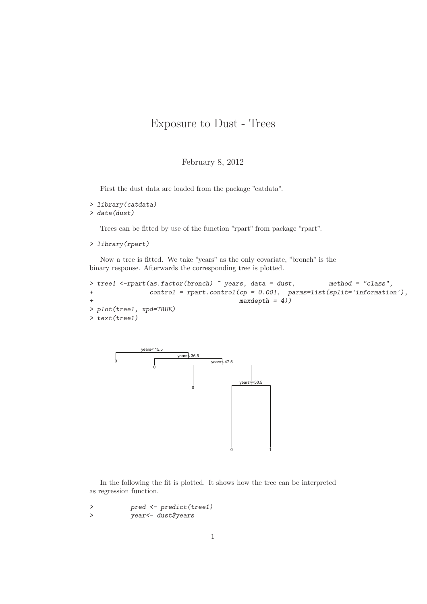## Exposure to Dust - Trees

## February 8, 2012

First the dust data are loaded from the package "catdata".

```
> library(catdata)
> data(dust)
```
Trees can be fitted by use of the function "rpart" from package "rpart".

```
> library(rpart)
```
Now a tree is fitted. We take "years" as the only covariate, "bronch" is the binary response. Afterwards the corresponding tree is plotted.

```
> tree1 <-rpart(as.factor(bronch) ~ years, data = dust, method = "class",
+ control = rpart.control(cp = 0.001, parms=list(split='information'),
+ maxdepth = 4))
> plot(tree1, xpd=TRUE)
> text(tree1)
```


In the following the fit is plotted. It shows how the tree can be interpreted as regression function.

*> pred <- predict(tree1) > year<- dust\$years*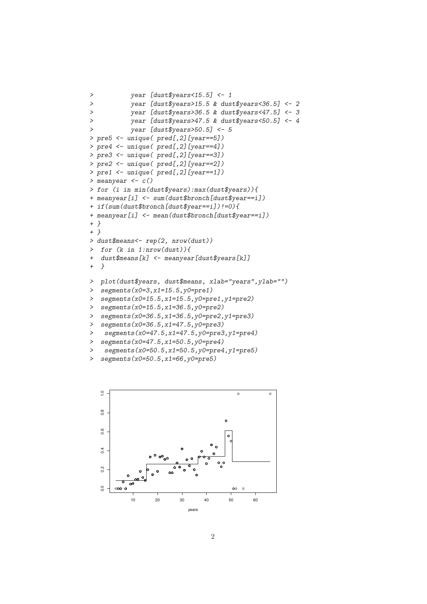```
> year [dust$years<15.5] <- 1
> year [dust$years>15.5 & dust$years<36.5] <- 2
> year [dust$years>36.5 & dust$years<47.5] <- 3
> year [dust$years>47.5 & dust$years<50.5] <- 4
> year [dust$years>50.5] <- 5
> pre5 <- unique( pred[,2][year==5])
> pre4 <- unique( pred[,2][year==4])
> pre3 <- unique( pred[,2][year==3])
> pre2 <- unique( pred[,2][year==2])
> pre1 <- unique( pred[,2][year==1])
> meanyear <- c()
> for (i in min(dust$years):max(dust$years)){
+ meanyear[i] <- sum(dust$bronch[dust$year==i])
+ if(sum(dust$bronch[dust$year==i])!=0){
+ meanyear[i] <- mean(dust$bronch[dust$year==i])
+ }
+ }
> dust$means<- rep(2, nrow(dust))
> for (k in 1:nrow(dust)){
+ dust$means[k] <- meanyear[dust$years[k]]
+ }
> plot(dust$years, dust$means, xlab="years",ylab="")
> segments(x0=3,x1=15.5,y0=pre1)
> segments(x0=15.5,x1=15.5,y0=pre1,y1=pre2)
> segments(x0=15.5,x1=36.5,y0=pre2)
> segments(x0=36.5,x1=36.5,y0=pre2,y1=pre3)
> segments(x0=36.5,x1=47.5,y0=pre3)
> segments(x0=47.5,x1=47.5,y0=pre3,y1=pre4)
> segments(x0=47.5,x1=50.5,y0=pre4)
> segments(x0=50.5,x1=50.5,y0=pre4,y1=pre5)
```

```
> segments(x0=50.5,x1=66,y0=pre5)
```
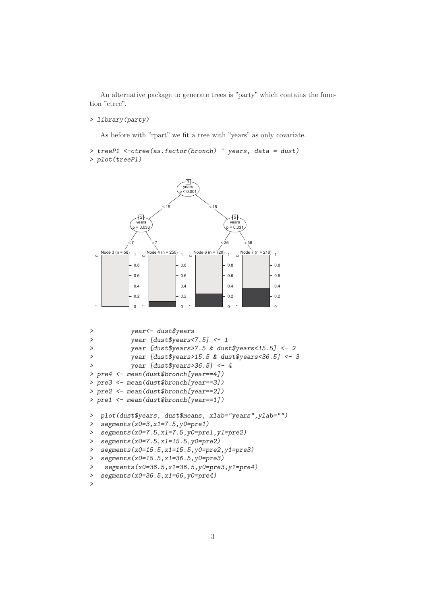An alternative package to generate trees is "party" which contains the function "ctree".

## *> library(party)*

As before with "rpart" we fit a tree with "years" as only covariate.

```
> treeP1 <-ctree(as.factor(bronch) ~ years, data = dust)
> plot(treeP1)
```


```
> year<- dust$years
> year [dust$years<7.5] <- 1
> year [dust$years>7.5 & dust$years<15.5] <- 2
> year [dust$years>15.5 & dust$years<36.5] <- 3
> year [dust$years>36.5] <- 4
> pre4 <- mean(dust$bronch[year==4])
> pre3 <- mean(dust$bronch[year==3])
> pre2 <- mean(dust$bronch[year==2])
> pre1 <- mean(dust$bronch[year==1])
> plot(dust$years, dust$means, xlab="years",ylab="")
> segments(x0=3,x1=7.5,y0=pre1)
> segments(x0=7.5,x1=7.5,y0=pre1,y1=pre2)
> segments(x0=7.5,x1=15.5,y0=pre2)
> segments(x0=15.5,x1=15.5,y0=pre2,y1=pre3)
> segments(x0=15.5,x1=36.5,y0=pre3)
> segments(x0=36.5,x1=36.5,y0=pre3,y1=pre4)
> segments(x0=36.5,x1=66,y0=pre4)
>
```